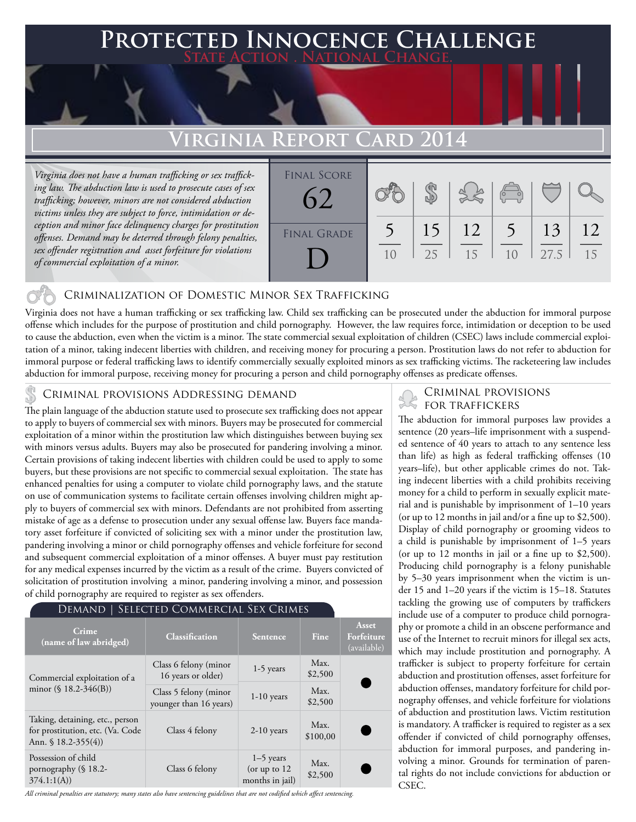### **FED INNOCENCE CHALLENGE State Action . National Change.**

## **Virginia Report Card 2014**

*Virginia does not have a human trafficking or sex trafficking law. The abduction law is used to prosecute cases of sex trafficking; however, minors are not considered abduction victims unless they are subject to force, intimidation or deception and minor face delinquency charges for prostitution offenses. Demand may be deterred through felony penalties, sex offender registration and asset forfeiture for violations of commercial exploitation of a minor.* 



#### Criminalization of Domestic Minor Sex Trafficking

Virginia does not have a human trafficking or sex trafficking law. Child sex trafficking can be prosecuted under the abduction for immoral purpose offense which includes for the purpose of prostitution and child pornography. However, the law requires force, intimidation or deception to be used to cause the abduction, even when the victim is a minor. The state commercial sexual exploitation of children (CSEC) laws include commercial exploitation of a minor, taking indecent liberties with children, and receiving money for procuring a person. Prostitution laws do not refer to abduction for immoral purpose or federal trafficking laws to identify commercially sexually exploited minors as sex trafficking victims. The racketeering law includes abduction for immoral purpose, receiving money for procuring a person and child pornography offenses as predicate offenses.

## CRIMINAL PROVISIONS ADDRESSING DEMAND<br>his longuage of the chairies attackers and to access the set and deliver demand agency and the FOR TRAFFICKERS

The plain language of the abduction statute used to prosecute sex trafficking does not appear to apply to buyers of commercial sex with minors. Buyers may be prosecuted for commercial exploitation of a minor within the prostitution law which distinguishes between buying sex with minors versus adults. Buyers may also be prosecuted for pandering involving a minor. Certain provisions of taking indecent liberties with children could be used to apply to some buyers, but these provisions are not specific to commercial sexual exploitation. The state has enhanced penalties for using a computer to violate child pornography laws, and the statute on use of communication systems to facilitate certain offenses involving children might apply to buyers of commercial sex with minors. Defendants are not prohibited from asserting mistake of age as a defense to prosecution under any sexual offense law. Buyers face mandatory asset forfeiture if convicted of soliciting sex with a minor under the prostitution law, pandering involving a minor or child pornography offenses and vehicle forfeiture for second and subsequent commercial exploitation of a minor offenses. A buyer must pay restitution for any medical expenses incurred by the victim as a result of the crime. Buyers convicted of solicitation of prostitution involving a minor, pandering involving a minor, and possession of child pornography are required to register as sex offenders.

#### Demand | Selected Commercial Sex Crimes

| Crime<br>(name of law abridged)                                                            | <b>Classification</b>                           | <b>Sentence</b>                                  | Fine             | Asset<br>Forfeiture<br>(available) |
|--------------------------------------------------------------------------------------------|-------------------------------------------------|--------------------------------------------------|------------------|------------------------------------|
| Commercial exploitation of a<br>minor $(\$ 18.2-346(B))$                                   | Class 6 felony (minor<br>16 years or older)     | $1-5$ years                                      | Max.<br>\$2,500  |                                    |
|                                                                                            | Class 5 felony (minor<br>younger than 16 years) | $1-10$ years                                     | Max.<br>\$2,500  |                                    |
| Taking, detaining, etc., person<br>for prostitution, etc. (Va. Code<br>Ann. $$18.2-355(4)$ | Class 4 felony                                  | $2-10$ years                                     | Max.<br>\$100,00 |                                    |
| Possession of child<br>pornography (§ 18.2-<br>374.1:1(A)                                  | Class 6 felony                                  | $1-5$ years<br>(or up to $12$<br>months in jail) | Max.<br>\$2,500  |                                    |

*All criminal penalties are statutory; many states also have sentencing guidelines that are not codified which affect sentencing.* 

# Criminal provisions

The abduction for immoral purposes law provides a sentence (20 years–life imprisonment with a suspended sentence of 40 years to attach to any sentence less than life) as high as federal trafficking offenses (10 years–life), but other applicable crimes do not. Taking indecent liberties with a child prohibits receiving money for a child to perform in sexually explicit material and is punishable by imprisonment of 1–10 years (or up to 12 months in jail and/or a fine up to \$2,500). Display of child pornography or grooming videos to a child is punishable by imprisonment of 1–5 years (or up to 12 months in jail or a fine up to \$2,500). Producing child pornography is a felony punishable by 5–30 years imprisonment when the victim is under 15 and 1–20 years if the victim is 15–18. Statutes tackling the growing use of computers by traffickers include use of a computer to produce child pornography or promote a child in an obscene performance and use of the Internet to recruit minors for illegal sex acts, which may include prostitution and pornography. A trafficker is subject to property forfeiture for certain abduction and prostitution offenses, asset forfeiture for abduction offenses, mandatory forfeiture for child pornography offenses, and vehicle forfeiture for violations of abduction and prostitution laws. Victim restitution is mandatory. A trafficker is required to register as a sex offender if convicted of child pornography offenses, abduction for immoral purposes, and pandering involving a minor. Grounds for termination of parental rights do not include convictions for abduction or CSEC.